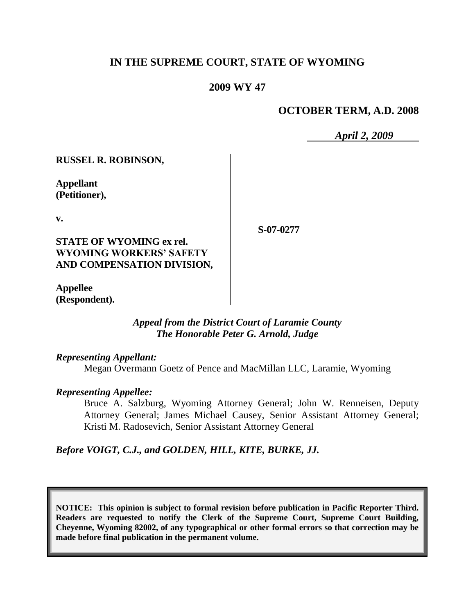# **IN THE SUPREME COURT, STATE OF WYOMING**

## **2009 WY 47**

## **OCTOBER TERM, A.D. 2008**

*April 2, 2009*

**RUSSEL R. ROBINSON,**

**Appellant (Petitioner),**

**v.**

**STATE OF WYOMING ex rel. WYOMING WORKERS' SAFETY AND COMPENSATION DIVISION,** **S-07-0277**

**Appellee (Respondent).**

#### *Appeal from the District Court of Laramie County The Honorable Peter G. Arnold, Judge*

*Representing Appellant:*

Megan Overmann Goetz of Pence and MacMillan LLC, Laramie, Wyoming

#### *Representing Appellee:*

Bruce A. Salzburg, Wyoming Attorney General; John W. Renneisen, Deputy Attorney General; James Michael Causey, Senior Assistant Attorney General; Kristi M. Radosevich, Senior Assistant Attorney General

# *Before VOIGT, C.J., and GOLDEN, HILL, KITE, BURKE, JJ.*

**NOTICE: This opinion is subject to formal revision before publication in Pacific Reporter Third. Readers are requested to notify the Clerk of the Supreme Court, Supreme Court Building, Cheyenne, Wyoming 82002, of any typographical or other formal errors so that correction may be made before final publication in the permanent volume.**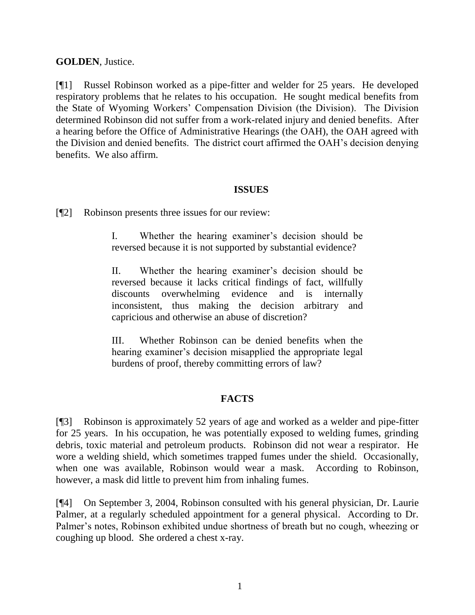## **GOLDEN**, Justice.

[¶1] Russel Robinson worked as a pipe-fitter and welder for 25 years. He developed respiratory problems that he relates to his occupation. He sought medical benefits from the State of Wyoming Workers" Compensation Division (the Division). The Division determined Robinson did not suffer from a work-related injury and denied benefits. After a hearing before the Office of Administrative Hearings (the OAH), the OAH agreed with the Division and denied benefits. The district court affirmed the OAH"s decision denying benefits. We also affirm.

## **ISSUES**

[¶2] Robinson presents three issues for our review:

I. Whether the hearing examiner"s decision should be reversed because it is not supported by substantial evidence?

II. Whether the hearing examiner"s decision should be reversed because it lacks critical findings of fact, willfully discounts overwhelming evidence and is internally inconsistent, thus making the decision arbitrary and capricious and otherwise an abuse of discretion?

III. Whether Robinson can be denied benefits when the hearing examiner's decision misapplied the appropriate legal burdens of proof, thereby committing errors of law?

# **FACTS**

[¶3] Robinson is approximately 52 years of age and worked as a welder and pipe-fitter for 25 years. In his occupation, he was potentially exposed to welding fumes, grinding debris, toxic material and petroleum products. Robinson did not wear a respirator. He wore a welding shield, which sometimes trapped fumes under the shield. Occasionally, when one was available, Robinson would wear a mask. According to Robinson, however, a mask did little to prevent him from inhaling fumes.

[¶4] On September 3, 2004, Robinson consulted with his general physician, Dr. Laurie Palmer, at a regularly scheduled appointment for a general physical. According to Dr. Palmer's notes, Robinson exhibited undue shortness of breath but no cough, wheezing or coughing up blood. She ordered a chest x-ray.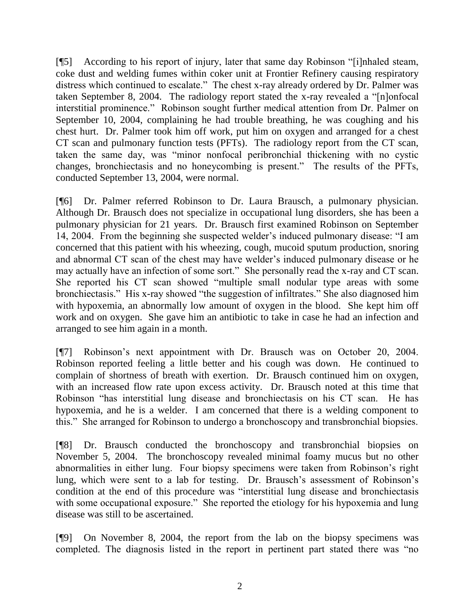[¶5] According to his report of injury, later that same day Robinson "[i]nhaled steam, coke dust and welding fumes within coker unit at Frontier Refinery causing respiratory distress which continued to escalate." The chest x-ray already ordered by Dr. Palmer was taken September 8, 2004. The radiology report stated the x-ray revealed a "[n]onfocal interstitial prominence." Robinson sought further medical attention from Dr. Palmer on September 10, 2004, complaining he had trouble breathing, he was coughing and his chest hurt. Dr. Palmer took him off work, put him on oxygen and arranged for a chest CT scan and pulmonary function tests (PFTs). The radiology report from the CT scan, taken the same day, was "minor nonfocal peribronchial thickening with no cystic changes, bronchiectasis and no honeycombing is present." The results of the PFTs, conducted September 13, 2004, were normal.

[¶6] Dr. Palmer referred Robinson to Dr. Laura Brausch, a pulmonary physician. Although Dr. Brausch does not specialize in occupational lung disorders, she has been a pulmonary physician for 21 years. Dr. Brausch first examined Robinson on September 14, 2004. From the beginning she suspected welder"s induced pulmonary disease: "I am concerned that this patient with his wheezing, cough, mucoid sputum production, snoring and abnormal CT scan of the chest may have welder"s induced pulmonary disease or he may actually have an infection of some sort." She personally read the x-ray and CT scan. She reported his CT scan showed "multiple small nodular type areas with some bronchiectasis." His x-ray showed "the suggestion of infiltrates." She also diagnosed him with hypoxemia, an abnormally low amount of oxygen in the blood. She kept him off work and on oxygen. She gave him an antibiotic to take in case he had an infection and arranged to see him again in a month.

[¶7] Robinson's next appointment with Dr. Brausch was on October 20, 2004. Robinson reported feeling a little better and his cough was down. He continued to complain of shortness of breath with exertion. Dr. Brausch continued him on oxygen, with an increased flow rate upon excess activity. Dr. Brausch noted at this time that Robinson "has interstitial lung disease and bronchiectasis on his CT scan. He has hypoxemia, and he is a welder. I am concerned that there is a welding component to this." She arranged for Robinson to undergo a bronchoscopy and transbronchial biopsies.

[¶8] Dr. Brausch conducted the bronchoscopy and transbronchial biopsies on November 5, 2004. The bronchoscopy revealed minimal foamy mucus but no other abnormalities in either lung. Four biopsy specimens were taken from Robinson"s right lung, which were sent to a lab for testing. Dr. Brausch's assessment of Robinson's condition at the end of this procedure was "interstitial lung disease and bronchiectasis with some occupational exposure." She reported the etiology for his hypoxemia and lung disease was still to be ascertained.

[¶9] On November 8, 2004, the report from the lab on the biopsy specimens was completed. The diagnosis listed in the report in pertinent part stated there was "no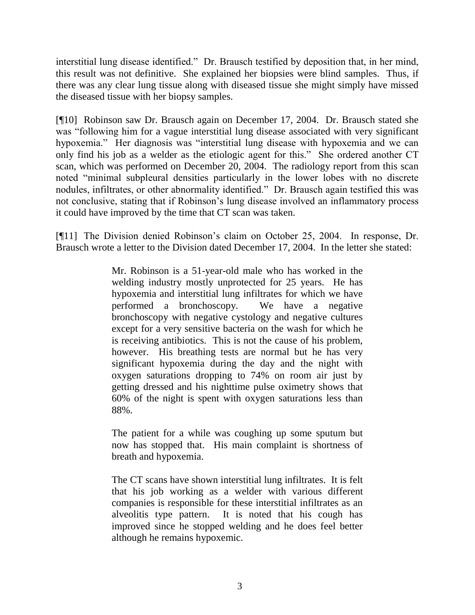interstitial lung disease identified." Dr. Brausch testified by deposition that, in her mind, this result was not definitive. She explained her biopsies were blind samples. Thus, if there was any clear lung tissue along with diseased tissue she might simply have missed the diseased tissue with her biopsy samples.

[¶10] Robinson saw Dr. Brausch again on December 17, 2004. Dr. Brausch stated she was "following him for a vague interstitial lung disease associated with very significant hypoxemia." Her diagnosis was "interstitial lung disease with hypoxemia and we can only find his job as a welder as the etiologic agent for this." She ordered another CT scan, which was performed on December 20, 2004. The radiology report from this scan noted "minimal subpleural densities particularly in the lower lobes with no discrete nodules, infiltrates, or other abnormality identified." Dr. Brausch again testified this was not conclusive, stating that if Robinson"s lung disease involved an inflammatory process it could have improved by the time that CT scan was taken.

[¶11] The Division denied Robinson"s claim on October 25, 2004. In response, Dr. Brausch wrote a letter to the Division dated December 17, 2004. In the letter she stated:

> Mr. Robinson is a 51-year-old male who has worked in the welding industry mostly unprotected for 25 years. He has hypoxemia and interstitial lung infiltrates for which we have performed a bronchoscopy. We have a negative bronchoscopy with negative cystology and negative cultures except for a very sensitive bacteria on the wash for which he is receiving antibiotics. This is not the cause of his problem, however. His breathing tests are normal but he has very significant hypoxemia during the day and the night with oxygen saturations dropping to 74% on room air just by getting dressed and his nighttime pulse oximetry shows that 60% of the night is spent with oxygen saturations less than 88%.

> The patient for a while was coughing up some sputum but now has stopped that. His main complaint is shortness of breath and hypoxemia.

> The CT scans have shown interstitial lung infiltrates. It is felt that his job working as a welder with various different companies is responsible for these interstitial infiltrates as an alveolitis type pattern. It is noted that his cough has improved since he stopped welding and he does feel better although he remains hypoxemic.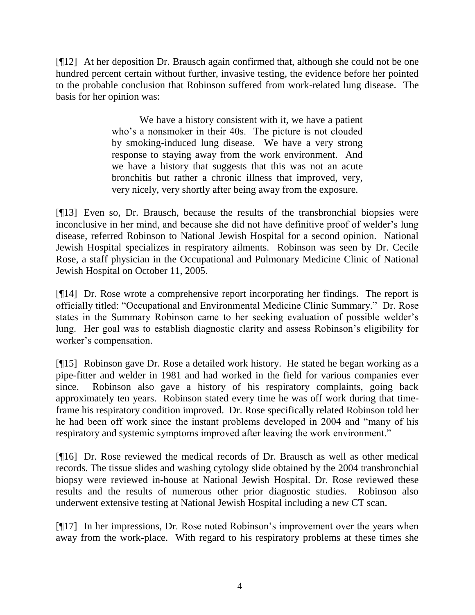[¶12] At her deposition Dr. Brausch again confirmed that, although she could not be one hundred percent certain without further, invasive testing, the evidence before her pointed to the probable conclusion that Robinson suffered from work-related lung disease. The basis for her opinion was:

> We have a history consistent with it, we have a patient who's a nonsmoker in their 40s. The picture is not clouded by smoking-induced lung disease. We have a very strong response to staying away from the work environment. And we have a history that suggests that this was not an acute bronchitis but rather a chronic illness that improved, very, very nicely, very shortly after being away from the exposure.

[¶13] Even so, Dr. Brausch, because the results of the transbronchial biopsies were inconclusive in her mind, and because she did not have definitive proof of welder's lung disease, referred Robinson to National Jewish Hospital for a second opinion. National Jewish Hospital specializes in respiratory ailments. Robinson was seen by Dr. Cecile Rose, a staff physician in the Occupational and Pulmonary Medicine Clinic of National Jewish Hospital on October 11, 2005.

[¶14] Dr. Rose wrote a comprehensive report incorporating her findings. The report is officially titled: "Occupational and Environmental Medicine Clinic Summary." Dr. Rose states in the Summary Robinson came to her seeking evaluation of possible welder"s lung. Her goal was to establish diagnostic clarity and assess Robinson"s eligibility for worker"s compensation.

[¶15] Robinson gave Dr. Rose a detailed work history. He stated he began working as a pipe-fitter and welder in 1981 and had worked in the field for various companies ever since. Robinson also gave a history of his respiratory complaints, going back approximately ten years. Robinson stated every time he was off work during that timeframe his respiratory condition improved. Dr. Rose specifically related Robinson told her he had been off work since the instant problems developed in 2004 and "many of his respiratory and systemic symptoms improved after leaving the work environment."

[¶16] Dr. Rose reviewed the medical records of Dr. Brausch as well as other medical records. The tissue slides and washing cytology slide obtained by the 2004 transbronchial biopsy were reviewed in-house at National Jewish Hospital. Dr. Rose reviewed these results and the results of numerous other prior diagnostic studies. Robinson also underwent extensive testing at National Jewish Hospital including a new CT scan.

[¶17] In her impressions, Dr. Rose noted Robinson"s improvement over the years when away from the work-place. With regard to his respiratory problems at these times she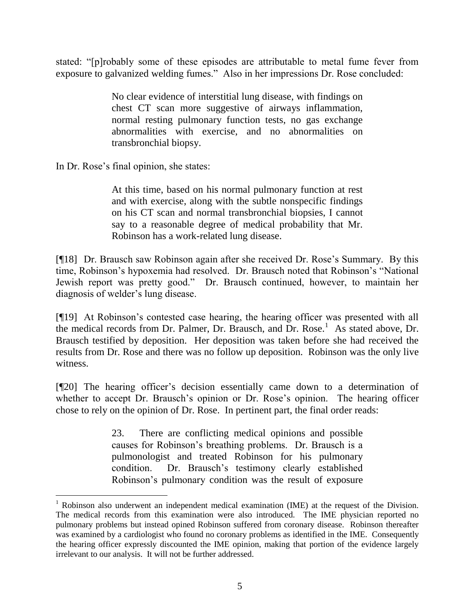stated: "[p]robably some of these episodes are attributable to metal fume fever from exposure to galvanized welding fumes." Also in her impressions Dr. Rose concluded:

> No clear evidence of interstitial lung disease, with findings on chest CT scan more suggestive of airways inflammation, normal resting pulmonary function tests, no gas exchange abnormalities with exercise, and no abnormalities on transbronchial biopsy.

In Dr. Rose"s final opinion, she states:

 $\overline{a}$ 

At this time, based on his normal pulmonary function at rest and with exercise, along with the subtle nonspecific findings on his CT scan and normal transbronchial biopsies, I cannot say to a reasonable degree of medical probability that Mr. Robinson has a work-related lung disease.

[¶18] Dr. Brausch saw Robinson again after she received Dr. Rose"s Summary. By this time, Robinson"s hypoxemia had resolved. Dr. Brausch noted that Robinson"s "National Jewish report was pretty good." Dr. Brausch continued, however, to maintain her diagnosis of welder"s lung disease.

[¶19] At Robinson"s contested case hearing, the hearing officer was presented with all the medical records from Dr. Palmer, Dr. Brausch, and Dr. Rose.<sup>1</sup> As stated above, Dr. Brausch testified by deposition. Her deposition was taken before she had received the results from Dr. Rose and there was no follow up deposition. Robinson was the only live witness.

[¶20] The hearing officer"s decision essentially came down to a determination of whether to accept Dr. Brausch's opinion or Dr. Rose's opinion. The hearing officer chose to rely on the opinion of Dr. Rose. In pertinent part, the final order reads:

> 23. There are conflicting medical opinions and possible causes for Robinson"s breathing problems. Dr. Brausch is a pulmonologist and treated Robinson for his pulmonary condition. Dr. Brausch"s testimony clearly established Robinson"s pulmonary condition was the result of exposure

 $1$  Robinson also underwent an independent medical examination (IME) at the request of the Division. The medical records from this examination were also introduced. The IME physician reported no pulmonary problems but instead opined Robinson suffered from coronary disease. Robinson thereafter was examined by a cardiologist who found no coronary problems as identified in the IME. Consequently the hearing officer expressly discounted the IME opinion, making that portion of the evidence largely irrelevant to our analysis. It will not be further addressed.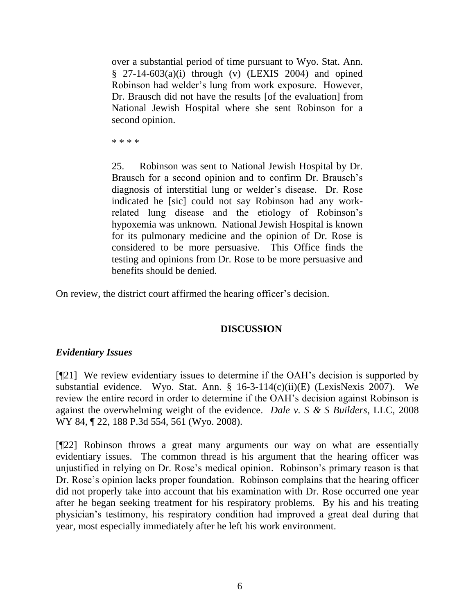over a substantial period of time pursuant to Wyo. Stat. Ann.  $§$  27-14-603(a)(i) through (v) (LEXIS 2004) and opined Robinson had welder"s lung from work exposure. However, Dr. Brausch did not have the results [of the evaluation] from National Jewish Hospital where she sent Robinson for a second opinion.

\* \* \* \*

25. Robinson was sent to National Jewish Hospital by Dr. Brausch for a second opinion and to confirm Dr. Brausch's diagnosis of interstitial lung or welder"s disease. Dr. Rose indicated he [sic] could not say Robinson had any workrelated lung disease and the etiology of Robinson"s hypoxemia was unknown. National Jewish Hospital is known for its pulmonary medicine and the opinion of Dr. Rose is considered to be more persuasive. This Office finds the testing and opinions from Dr. Rose to be more persuasive and benefits should be denied.

On review, the district court affirmed the hearing officer"s decision.

#### **DISCUSSION**

#### *Evidentiary Issues*

[¶21] We review evidentiary issues to determine if the OAH"s decision is supported by substantial evidence. Wyo. Stat. Ann. § 16-3-114(c)(ii)(E) (LexisNexis 2007). We review the entire record in order to determine if the OAH"s decision against Robinson is against the overwhelming weight of the evidence. *Dale v. S & S Builders*, LLC, 2008 WY 84, ¶ 22, 188 P.3d 554, 561 (Wyo. 2008).

[¶22] Robinson throws a great many arguments our way on what are essentially evidentiary issues. The common thread is his argument that the hearing officer was unjustified in relying on Dr. Rose"s medical opinion. Robinson"s primary reason is that Dr. Rose's opinion lacks proper foundation. Robinson complains that the hearing officer did not properly take into account that his examination with Dr. Rose occurred one year after he began seeking treatment for his respiratory problems. By his and his treating physician"s testimony, his respiratory condition had improved a great deal during that year, most especially immediately after he left his work environment.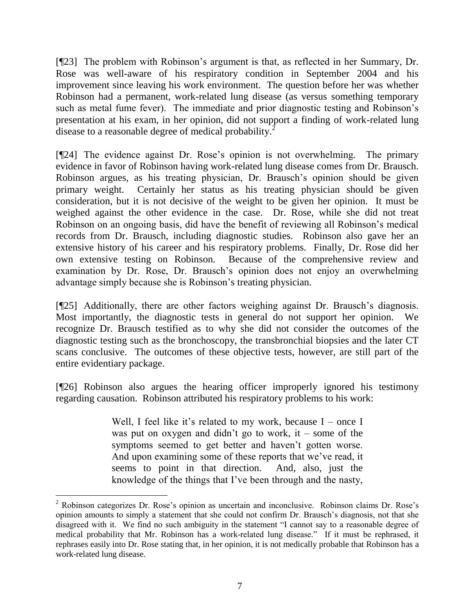[¶23] The problem with Robinson's argument is that, as reflected in her Summary, Dr. Rose was well-aware of his respiratory condition in September 2004 and his improvement since leaving his work environment. The question before her was whether Robinson had a permanent, work-related lung disease (as versus something temporary such as metal fume fever). The immediate and prior diagnostic testing and Robinson's presentation at his exam, in her opinion, did not support a finding of work-related lung disease to a reasonable degree of medical probability.<sup>2</sup>

[¶24] The evidence against Dr. Rose"s opinion is not overwhelming. The primary evidence in favor of Robinson having work-related lung disease comes from Dr. Brausch. Robinson argues, as his treating physician, Dr. Brausch"s opinion should be given primary weight. Certainly her status as his treating physician should be given consideration, but it is not decisive of the weight to be given her opinion. It must be weighed against the other evidence in the case. Dr. Rose, while she did not treat Robinson on an ongoing basis, did have the benefit of reviewing all Robinson"s medical records from Dr. Brausch, including diagnostic studies. Robinson also gave her an extensive history of his career and his respiratory problems. Finally, Dr. Rose did her own extensive testing on Robinson. Because of the comprehensive review and examination by Dr. Rose, Dr. Brausch's opinion does not enjoy an overwhelming advantage simply because she is Robinson"s treating physician.

[¶25] Additionally, there are other factors weighing against Dr. Brausch's diagnosis. Most importantly, the diagnostic tests in general do not support her opinion. We recognize Dr. Brausch testified as to why she did not consider the outcomes of the diagnostic testing such as the bronchoscopy, the transbronchial biopsies and the later CT scans conclusive. The outcomes of these objective tests, however, are still part of the entire evidentiary package.

[¶26] Robinson also argues the hearing officer improperly ignored his testimony regarding causation. Robinson attributed his respiratory problems to his work:

> Well, I feel like it's related to my work, because  $I$  – once I was put on oxygen and didn't go to work, it – some of the symptoms seemed to get better and haven't gotten worse. And upon examining some of these reports that we've read, it seems to point in that direction. And, also, just the knowledge of the things that I"ve been through and the nasty,

 $\overline{a}$ 

 $2$  Robinson categorizes Dr. Rose's opinion as uncertain and inconclusive. Robinson claims Dr. Rose's opinion amounts to simply a statement that she could not confirm Dr. Brausch"s diagnosis, not that she disagreed with it. We find no such ambiguity in the statement "I cannot say to a reasonable degree of medical probability that Mr. Robinson has a work-related lung disease." If it must be rephrased, it rephrases easily into Dr. Rose stating that, in her opinion, it is not medically probable that Robinson has a work-related lung disease.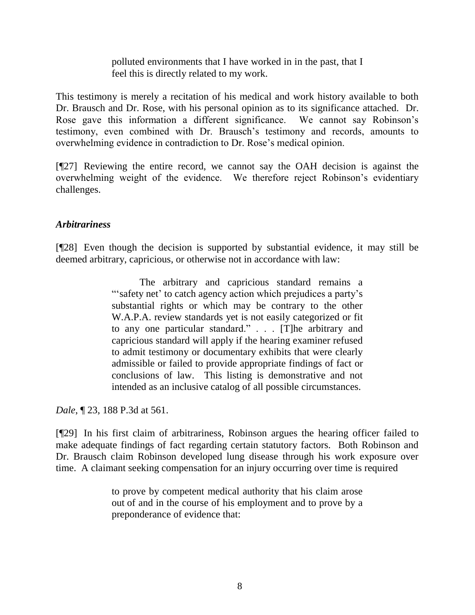polluted environments that I have worked in in the past, that I feel this is directly related to my work.

This testimony is merely a recitation of his medical and work history available to both Dr. Brausch and Dr. Rose, with his personal opinion as to its significance attached. Dr. Rose gave this information a different significance. We cannot say Robinson"s testimony, even combined with Dr. Brausch"s testimony and records, amounts to overwhelming evidence in contradiction to Dr. Rose"s medical opinion.

[¶27] Reviewing the entire record, we cannot say the OAH decision is against the overwhelming weight of the evidence. We therefore reject Robinson"s evidentiary challenges.

# *Arbitrariness*

[¶28] Even though the decision is supported by substantial evidence, it may still be deemed arbitrary, capricious, or otherwise not in accordance with law:

> The arbitrary and capricious standard remains a "safety net' to catch agency action which prejudices a party's substantial rights or which may be contrary to the other W.A.P.A. review standards yet is not easily categorized or fit to any one particular standard." . . . [T]he arbitrary and capricious standard will apply if the hearing examiner refused to admit testimony or documentary exhibits that were clearly admissible or failed to provide appropriate findings of fact or conclusions of law. This listing is demonstrative and not intended as an inclusive catalog of all possible circumstances.

*Dale*, ¶ 23, 188 P.3d at 561.

[¶29] In his first claim of arbitrariness, Robinson argues the hearing officer failed to make adequate findings of fact regarding certain statutory factors. Both Robinson and Dr. Brausch claim Robinson developed lung disease through his work exposure over time. A claimant seeking compensation for an injury occurring over time is required

> to prove by competent medical authority that his claim arose out of and in the course of his employment and to prove by a preponderance of evidence that: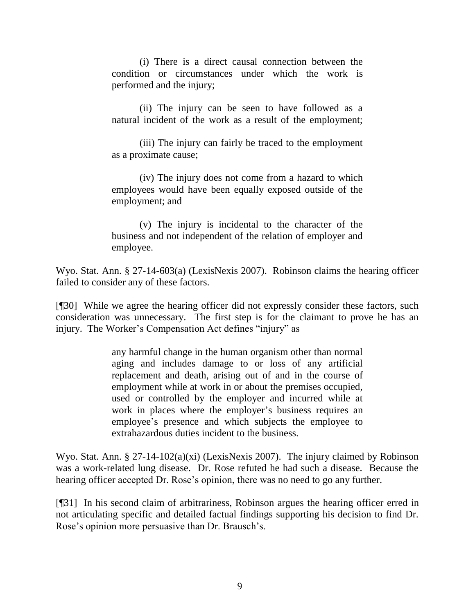(i) There is a direct causal connection between the condition or circumstances under which the work is performed and the injury;

(ii) The injury can be seen to have followed as a natural incident of the work as a result of the employment;

(iii) The injury can fairly be traced to the employment as a proximate cause;

(iv) The injury does not come from a hazard to which employees would have been equally exposed outside of the employment; and

(v) The injury is incidental to the character of the business and not independent of the relation of employer and employee.

Wyo. Stat. Ann. § 27-14-603(a) (LexisNexis 2007). Robinson claims the hearing officer failed to consider any of these factors.

[¶30] While we agree the hearing officer did not expressly consider these factors, such consideration was unnecessary. The first step is for the claimant to prove he has an injury. The Worker's Compensation Act defines "injury" as

> any harmful change in the human organism other than normal aging and includes damage to or loss of any artificial replacement and death, arising out of and in the course of employment while at work in or about the premises occupied, used or controlled by the employer and incurred while at work in places where the employer's business requires an employee"s presence and which subjects the employee to extrahazardous duties incident to the business.

Wyo. Stat. Ann. § 27-14-102(a)(xi) (LexisNexis 2007). The injury claimed by Robinson was a work-related lung disease. Dr. Rose refuted he had such a disease. Because the hearing officer accepted Dr. Rose's opinion, there was no need to go any further.

[¶31] In his second claim of arbitrariness, Robinson argues the hearing officer erred in not articulating specific and detailed factual findings supporting his decision to find Dr. Rose's opinion more persuasive than Dr. Brausch's.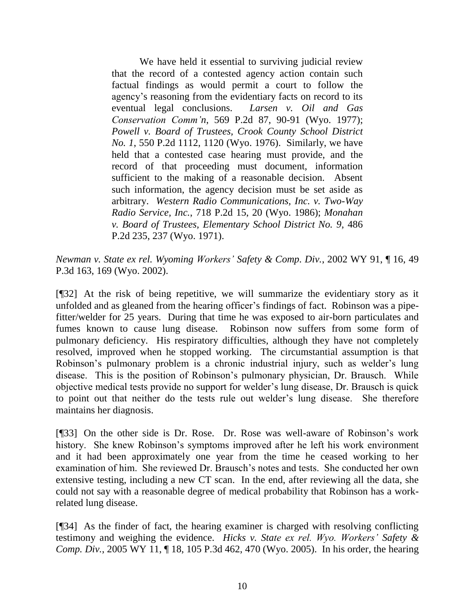We have held it essential to surviving judicial review that the record of a contested agency action contain such factual findings as would permit a court to follow the agency"s reasoning from the evidentiary facts on record to its eventual legal conclusions. *Larsen v. Oil and Gas Conservation Comm'n*, 569 P.2d 87, 90-91 (Wyo. 1977); *Powell v. Board of Trustees, Crook County School District No. 1*, 550 P.2d 1112, 1120 (Wyo. 1976). Similarly, we have held that a contested case hearing must provide, and the record of that proceeding must document, information sufficient to the making of a reasonable decision. Absent such information, the agency decision must be set aside as arbitrary. *Western Radio Communications, Inc. v. Two-Way Radio Service, Inc.*, 718 P.2d 15, 20 (Wyo. 1986); *Monahan v. Board of Trustees, Elementary School District No. 9*, 486 P.2d 235, 237 (Wyo. 1971).

*Newman v. State ex rel. Wyoming Workers' Safety & Comp. Div.*, 2002 WY 91, ¶ 16, 49 P.3d 163, 169 (Wyo. 2002).

[¶32] At the risk of being repetitive, we will summarize the evidentiary story as it unfolded and as gleaned from the hearing officer"s findings of fact. Robinson was a pipefitter/welder for 25 years. During that time he was exposed to air-born particulates and fumes known to cause lung disease. Robinson now suffers from some form of pulmonary deficiency. His respiratory difficulties, although they have not completely resolved, improved when he stopped working. The circumstantial assumption is that Robinson's pulmonary problem is a chronic industrial injury, such as welder's lung disease. This is the position of Robinson"s pulmonary physician, Dr. Brausch. While objective medical tests provide no support for welder"s lung disease, Dr. Brausch is quick to point out that neither do the tests rule out welder"s lung disease. She therefore maintains her diagnosis.

[¶33] On the other side is Dr. Rose. Dr. Rose was well-aware of Robinson"s work history. She knew Robinson's symptoms improved after he left his work environment and it had been approximately one year from the time he ceased working to her examination of him. She reviewed Dr. Brausch"s notes and tests. She conducted her own extensive testing, including a new CT scan. In the end, after reviewing all the data, she could not say with a reasonable degree of medical probability that Robinson has a workrelated lung disease.

[¶34] As the finder of fact, the hearing examiner is charged with resolving conflicting testimony and weighing the evidence. *Hicks v. State ex rel. Wyo. Workers' Safety & Comp. Div.*, 2005 WY 11, ¶ 18, 105 P.3d 462, 470 (Wyo. 2005). In his order, the hearing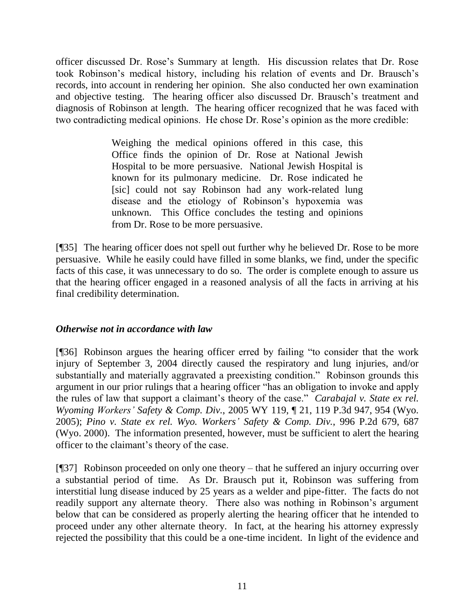officer discussed Dr. Rose"s Summary at length. His discussion relates that Dr. Rose took Robinson"s medical history, including his relation of events and Dr. Brausch"s records, into account in rendering her opinion. She also conducted her own examination and objective testing. The hearing officer also discussed Dr. Brausch"s treatment and diagnosis of Robinson at length. The hearing officer recognized that he was faced with two contradicting medical opinions. He chose Dr. Rose"s opinion as the more credible:

> Weighing the medical opinions offered in this case, this Office finds the opinion of Dr. Rose at National Jewish Hospital to be more persuasive. National Jewish Hospital is known for its pulmonary medicine. Dr. Rose indicated he [sic] could not say Robinson had any work-related lung disease and the etiology of Robinson"s hypoxemia was unknown. This Office concludes the testing and opinions from Dr. Rose to be more persuasive.

[¶35] The hearing officer does not spell out further why he believed Dr. Rose to be more persuasive. While he easily could have filled in some blanks, we find, under the specific facts of this case, it was unnecessary to do so. The order is complete enough to assure us that the hearing officer engaged in a reasoned analysis of all the facts in arriving at his final credibility determination.

# *Otherwise not in accordance with law*

[¶36] Robinson argues the hearing officer erred by failing "to consider that the work injury of September 3, 2004 directly caused the respiratory and lung injuries, and/or substantially and materially aggravated a preexisting condition." Robinson grounds this argument in our prior rulings that a hearing officer "has an obligation to invoke and apply the rules of law that support a claimant"s theory of the case." *Carabajal v. State ex rel. Wyoming Workers' Safety & Comp. Div.*, 2005 WY 119, ¶ 21, 119 P.3d 947, 954 (Wyo. 2005); *Pino v. State ex rel. Wyo. Workers' Safety & Comp. Div.*, 996 P.2d 679, 687 (Wyo. 2000). The information presented, however, must be sufficient to alert the hearing officer to the claimant"s theory of the case.

[¶37] Robinson proceeded on only one theory – that he suffered an injury occurring over a substantial period of time. As Dr. Brausch put it, Robinson was suffering from interstitial lung disease induced by 25 years as a welder and pipe-fitter. The facts do not readily support any alternate theory. There also was nothing in Robinson's argument below that can be considered as properly alerting the hearing officer that he intended to proceed under any other alternate theory. In fact, at the hearing his attorney expressly rejected the possibility that this could be a one-time incident. In light of the evidence and